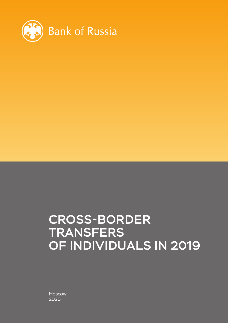

## CROSS-BORDER **TRANSFERS** OF INDIVIDUALS IN 2019

Moscow 2020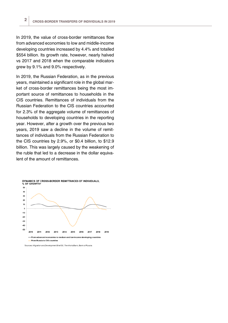In 2019, the value of cross-border remittances flow from advanced economies to low and middle-income developing countries increased by 4.4% and totalled \$554 billion. Its growth rate, however, nearly halved vs 2017 and 2018 when the comparable indicators grew by 9.1% and 9.0% respectively.

In 2019, the Russian Federation, as in the previous years, maintained a significant role in the global market of cross-border remittances being the most important source of remittances to households in the CIS countries. Remittances of individuals from the Russian Federation to the CIS countries accounted for 2.3% of the aggregate volume of remittances of households to developing countries in the reporting year. However, after a growth over the previous two years, 2019 saw a decline in the volume of remittances of individuals from the Russian Federation to the CIS countries by 2.9%, or \$0.4 billion, to \$12.9 billion. This was largely caused by the weakening of the ruble that led to a decrease in the dollar equivalent of the amount of remittances.



<sup>\*</sup>Sources: Migration and Development Brief 30, The World Bank; Bank of Russia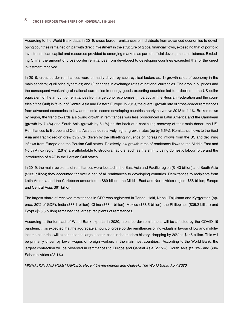According to the World Bank data, in 2019, cross-border remittances of individuals from advanced economies to developing countries remained on par with direct investment in the structure of global financial flows, exceeding that of portfolio investment, loan capital and resources provided to emerging markets as part of official development assistance. Excluding China, the amount of cross-border remittances from developed to developing countries exceeded that of the direct investment received.

In 2019, cross-border remittances were primarily driven by such cyclical factors as: 1) growth rates of economy in the main senders; 2) oil price dynamics; and 3) changes in exchange rates of national currencies. The drop in oil prices and the consequent weakening of national currencies in energy goods exporting countries led to a decline in the US dollar equivalent of the amount of remittances from large donor economies (in particular, the Russian Federation and the countries of the Gulf) in favour of Central Asia and Eastern Europe. In 2019, the overall growth rate of cross-border remittances from advanced economies to low and middle-income developing countries nearly halved vs 2018 to 4.4%. Broken down by region, the trend towards a slowing growth in remittances was less pronounced in Latin America and the Caribbean (growth by 7.4%) and South Asia (growth by 6.1%) on the back of a continuing recovery of their main donor, the US. Remittances to Europe and Central Asia posted relatively higher growth rates (up by 6.6%). Remittance flows to the East Asia and Pacific region grew by 2.6%, driven by the offsetting influence of increasing inflows from the US and declining inflows from Europe and the Persian Gulf states. Relatively low growth rates of remittance flows to the Middle East and North Africa region (2.6%) are attributable to structural factors, such as the shift to using domestic labour force and the introduction of VAT in the Persian Gulf states.

In 2019, the main recipients of remittances were located in the East Asia and Pacific region (\$143 billion) and South Asia (\$132 billion); they accounted for over a half of all remittances to developing countries. Remittances to recipients from Latin America and the Caribbean amounted to \$89 billion; the Middle East and North Africa region, \$58 billion; Europe and Central Asia, \$61 billion.

The largest share of received remittances in GDP was registered in Tonga, Haiti, Nepal, Tajikistan and Kyrgyzstan (approx. 30% of GDP). India (\$83.1 billion), China (\$68.4 billion), Mexico (\$38.5 billion), the Philippines (\$35.2 billion) and Egypt (\$26.8 billion) remained the largest recipients of remittances.

According to the forecast of World Bank experts, in 2020, cross-border remittances will be affected by the COVID-19 pandemic. It is expected that the aggregate amount of cross-border remittances of individuals in favour of low and middleincome countries will experience the largest contraction in the modern history, dropping by 20% to \$445 billion. This will be primarily driven by lower wages of foreign workers in the main host countries. According to the World Bank, the largest contraction will be observed in remittances to Europe and Central Asia (27.5%), South Asia (22.1%) and Sub-Saharan Africa (23.1%).

*MIGRATION AND REMITTANCES, Recent Developments and Outlook, The World Bank, April 2020*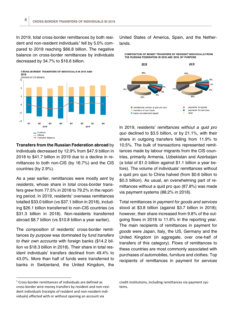In 2019, total cross-border remittances by both resi-dent and non-resident individuals<sup>[1](#page-3-0)</sup> fell by  $5.0\%$  compared to 2018 reaching \$66.8 billion. The negative balance on cross-border remittances by individuals decreased by 34.7% to \$16.6 billion.



**Transfers from the Russian Federation abroad** by individuals decreased by 12.9% from \$47.9 billion in 2018 to \$41.7 billion in 2019 due to a decline in remittances to both non-CIS (by 16.7%) and the CIS countries (by 2.9%).

As a year earlier, remittances were mostly *sent* by *residents,* whose share in total cross-border transfers grew from 77.5% in 2018 to 79.2% in the reporting period. In 2019, residents' overseas remittances totalled \$33.0 billion (vs \$37.1 billion in 2018), including \$26.1 billion transferred to non-CIS countries (vs \$31.3 billion in 2018). Non-residents transferred abroad \$8.7 billion (vs \$10.8 billion a year earlier).

The *composition* of residents' cross-border remittances *by purpose* was dominated by *fund transfers to their own accounts* with foreign banks (\$14.2 billion vs \$18.3 billion in 2018). Their share in total resident individuals' transfers declined from 49.4% to 43.0%. More than half of funds were transferred to banks in Switzerland, the United Kingdom, the

<span id="page-3-0"></span> $1$  Cross-border remittances of individuals are defined as cross-border wire money transfers by resident and non-resident individuals (receipts of resident and non-resident individuals) effected with or without opening an account via

United States of America, Spain, and the Netherlands.

**COMPOSITION OF MONEY TRANSFERS BY RESIDENT INDIVIDUALS FROM** THE RUSSIAN FEDERATION IN 2018 AND 2019, BY PURPOSE



In 2019, residents' *remittances without a quid pro quo* declined to \$3.5 billion, or by 21.1%, with their share in outgoing transfers falling from 11.9% to 10.5%. The bulk of transactions represented remittances made by labour migrants from the CIS countries, primarily Armenia, Uzbekistan and Azerbaijan (a total of \$1.0 billion against \$1.1 billion a year before). The volume of individuals' remittances without a quid pro quo to China halved (from \$0.6 billion to \$0.3 billion). As usual, an overwhelming part of remittances without a quid pro quo (87.8%) was made via payment systems (88.2% in 2018).

Total remittances in *payment for goods and services* stood at \$3.8 billion (against \$3.7 billion in 2018); however, their share increased from 9.8% of the outgoing flows in 2018 to 11.6% in the reporting year. The main recipients of remittances in payment for *goods* were Japan, Italy, the US, Germany and the United Kingdom (in aggregate, over one-half of transfers of this category). Flows of remittances to these countries are most commonly associated with purchases of automobiles, furniture and clothes. Top recipients of remittances in payment for *services*

credit institutions, including remittances via payment systems.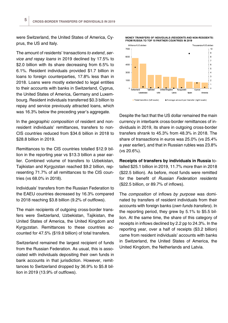were Switzerland, the United States of America, Cyprus, the US and Italy.

The amount of residents' transactions *to extend, service and repay loans* in 2019 declined by 17.5% to \$2.0 billion with its share decreasing from 6.5% to 6.1%. Resident individuals provided \$1.7 billion in loans to foreign counterparties, 17.8% less than in 2018. Loans were mostly extended to legal entities to their accounts with banks in Switzerland, Cyprus, the United States of America, Germany and Luxembourg. Resident individuals transferred \$0.3 billion to repay and service previously attracted loans, which was 16.3% below the preceding year's aggregate.

In the *geographic composition* of resident and nonresident individuals' remittances, transfers to non-CIS countries reduced from \$34.6 billion in 2018 to \$28.8 billion in 2019.

Remittances to the CIS countries totalled \$12.9 billion in the reporting year vs \$13.3 billion a year earlier. Combined volume of transfers to Uzbekistan, Tajikistan and Kyrgyzstan reached \$9.2 billion, representing 71.7% of all remittances to the CIS countries (vs 68.0% in 2018).

Individuals' transfers from the Russian Federation to the EAEU countries decreased by 16.3% compared to 2018 reaching \$3.8 billion (9.2% of outflows).

The main recipients of outgoing cross-border transfers were Switzerland, Uzbekistan, Tajikistan, the United States of America, the United Kingdom and Kyrgyzstan. Remittances to these countries accounted for 47.5% (\$19.8 billion) of total transfers.

Switzerland remained the largest recipient of funds from the Russian Federation. As usual, this is associated with individuals depositing their own funds in bank accounts in that jurisdiction. However, remittances to Switzerland dropped by 36.9% to \$5.8 billion in 2019 (13.9% of outflows).





Despite the fact that the US dollar remained the main currency in interbank cross-border remittances of individuals in 2019, its share in outgoing cross-border transfers shrank to 45.3% from 48.3% in 2018. The share of transactions in euros was 25.0% (vs 25.4% a year earlier), and that in Russian rubles was 23.8% (vs 20.6%).

**Receipts of transfers by individuals in Russia** totalled \$25.1 billion in 2019, 11.7% more than in 2018 (\$22.5 billion). As before, most funds were remitted for the benefit of *Russian Federation residents* (\$22.5 billion, or 89.7% of inflows).

The *composition* of inflows *by purpose* was dominated by transfers of resident individuals from their accounts with foreign banks (*own funds transfers*). In the reporting period, they grew by 5.1% to \$5.5 billion. At the same time, the share of this category of receipts in inflows declined by 2.2 pp to 24.3%. In the reporting year, over a half of receipts (\$3.2 billion) came from resident individuals' accounts with banks in Switzerland, the United States of America, the United Kingdom, the Netherlands and Latvia.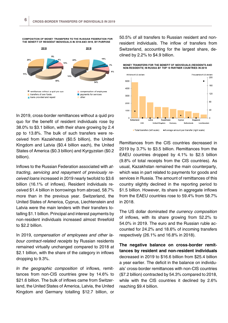

COMPOSITION OF MONEY TRANSFERS TO THE RUSSIAN FEDERATION FOR THE BENEFIT OF RESIDENT INDIVIDUALS IN 2018 AND 2019. BY PURPOSE

In 2019, cross-border remittances without a quid pro quo for the benefit of resident individuals rose by 38.0% to \$3.1 billion, with their share growing by 2.4 pp to 13.8%. The bulk of such transfers were received from Kazakhstan (\$0.5 billion), the United Kingdom and Latvia (\$0.4 billion each), the United States of America (\$0.3 billion) and Kyrgyzstan (\$0.2 billion).

Inflows to the Russian Federation associated with *attracting, servicing and repayment of previously received loans* increased in 2019 nearly twofold to \$3.6 billion (16.1% of inflows). Resident individuals received \$1.4 billion in borrowings from abroad, 58.7% more than in the previous year. Switzerland, the United States of America, Cyprus, Liechtenstein and Latvia were the main lenders with their transfers totalling \$1.1 billion. Principal and interest payments by non-resident individuals increased almost threefold to \$2.2 billion.

In 2019, c*ompensation of employees and other labour contract-related receipts* by Russian residents remained virtually unchanged compared to 2018 at \$2.1 billion, with the share of the category in inflows dropping to 9.3%.

*In the geographic composition* of inflows, remittances from non-CIS countries grew by 14.6% to \$21.6 billion. The bulk of inflows came from Switzerland, the United States of America, Latvia, the United Kingdom and Germany totalling \$12.7 billion, or 50.5% of all transfers to Russian resident and nonresident individuals. The inflow of transfers from Switzerland, accounting for the largest share, declined by 2.2% to \$4.9 billion.





Remittances from the CIS countries decreased in 2019 by 3.7% to \$3.5 billion. Remittances from the EAEU countries dropped by 4.1% to \$2.5 billion (9.8% of total receipts from the CIS countries). As usual, Kazakhstan remained the main counterparty, which was in part related to payments for goods and services in Russia. The amount of remittances of this country slightly declined in the reporting period to \$1.5 billion. However, its share in aggregate inflows from the EAEU countries rose to 59.4% from 58.7% in 2018.

The US dollar dominated *the currency composition* of inflows, with its share growing from 52.2% to 54.0% in 2019. The euro and the Russian ruble accounted for 24.2% and 18.6% of incoming transfers respectively (26.1% and 16.8% in 2018).

**The negative balance on cross-border remittances by resident and non-resident individuals** decreased in 2019 to \$16.6 billion from \$25.4 billion a year earlier. The deficit in the balance on individuals' cross-border remittances with non-CIS countries (\$7.2 billion) contracted by 54.3% compared to 2018, while with the CIS countries it declined by 2.6% reaching \$9.4 billion.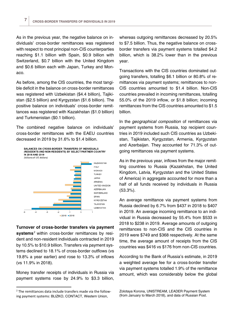As in the previous year, the negative balance on individuals' cross-border remittances was registered with respect to most principal non-CIS counterparties reaching \$1.1 billion with Spain, \$0.9 billion with Switzerland, \$0.7 billion with the United Kingdom and \$0.6 billion each with Japan, Turkey and Monaco.

As before, among the CIS countries, the most tangible deficit in the balance on cross-border remittances was registered with Uzbekistan (\$4.4 billion), Tajikistan (\$2.5 billion) and Kyrgyzstan (\$1.6 billion). The positive balance on individuals' cross-border remittances was registered with Kazakhstan (\$1.0 billion) and Turkmenistan (\$0.1 billion).

The combined negative balance on individuals' cross-border remittances with the EAEU countries decreased in 2019 by 31.6% to \$1.4 billion.

**BALANCES ON CROSS-BORDER TRANSFERS OF INDIVIDUALS** (RESIDENTS AND NON-RESIDENTS) BY SELECT PARTNER COUNTRY IN 2018 AND 2019 (billions of US dollars)



**Turnover of cross-border transfers via payment systems**[2](#page-6-0) within cross-border remittances by resident and non-resident individuals contracted in 2019 by 10.5% to \$10.9 billion. Transfers via payment systems declined to 18.1% of cross-border outflows (vs 19.8% a year earlier) and rose to 13.3% of inflows (vs 11.9% in 2018).

Money transfer receipts of individuals in Russia via payment systems rose by 24.9% to \$3.3 billion,

whereas outgoing remittances decreased by 20.5% to \$7.5 billion. Thus, the negative balance on crossborder transfers via payment systems totalled \$4.2 billion, which is 38.2% lower than in the previous year.

Transactions with the CIS countries dominated outgoing transfers, totalling \$6.1 billion or 80.8% of remittances via payment systems; remittances to non-CIS countries amounted to \$1.4 billion. Non-CIS countries prevailed in incoming remittances, totalling 55.0% of the 2019 inflow, or \$1.8 billion; incoming remittances from the CIS countries amounted to \$1.5 billion.

In the *geographical composition* of remittances via payment systems from Russia, top recipient countries in 2019 included such CIS countries as Uzbekistan, Tajikistan, Kyrgyzstan, Armenia, Kyrgyzstan and Azerbaijan. They accounted for 71.3% of outgoing remittances via payment systems.

As in the previous year, inflows from the major remitting countries to Russia (Kazakhstan, the United Kingdom, Latvia, Kyrgyzstan and the United States of America) in aggregate accounted for more than a half of all funds received by individuals in Russia (53.3%).

An average remittance via payment systems from Russia declined by 6.7% from \$437 in 2018 to \$407 in 2019. An average incoming remittance to an individual in Russia decreased by 55.4% from \$533 in 2018 to \$238 in 2019. Average amounts of outgoing remittances to non-CIS and the CIS countries in 2019 were \$749 and \$368 respectively. At the same time, the average amount of receipts from the CIS countries was \$416 vs \$176 from non-CIS countries.

According to the Bank of Russia's estimate, in 2019 a weighted average fee for a cross-border transfer via payment systems totalled 1.9% of the remittance amount, which was considerably below the global

Zolotaya Korona, UNISTREAM, LEADER Payment System (from January to March 2018), and data of Russian Post.

<span id="page-6-0"></span> <sup>2</sup> The remittances data include transfers made via the following payment systems: BLIZKO, CONTACT, Western Union,